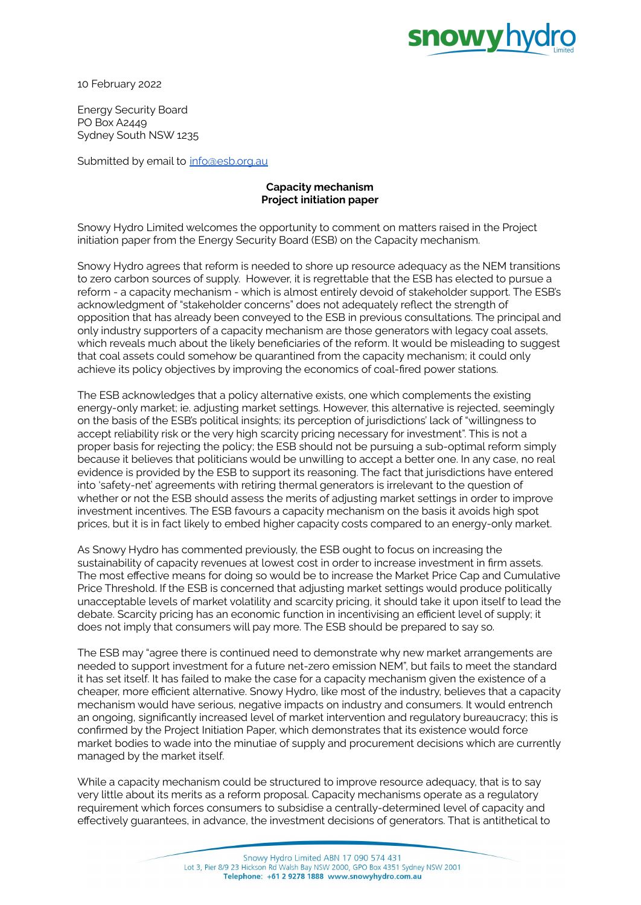

10 February 2022

Energy Security Board PO Box A2449 Sydney South NSW 1235

Submitted by email to [info@esb.org.au](mailto:info@esb.org.au)

## **Capacity mechanism Project initiation paper**

Snowy Hydro Limited welcomes the opportunity to comment on matters raised in the Project initiation paper from the Energy Security Board (ESB) on the Capacity mechanism.

Snowy Hydro agrees that reform is needed to shore up resource adequacy as the NEM transitions to zero carbon sources of supply. However, it is regrettable that the ESB has elected to pursue a reform - a capacity mechanism - which is almost entirely devoid of stakeholder support. The ESB's acknowledgment of "stakeholder concerns" does not adequately reflect the strength of opposition that has already been conveyed to the ESB in previous consultations. The principal and only industry supporters of a capacity mechanism are those generators with legacy coal assets, which reveals much about the likely beneficiaries of the reform. It would be misleading to suggest that coal assets could somehow be quarantined from the capacity mechanism; it could only achieve its policy objectives by improving the economics of coal-fired power stations.

The ESB acknowledges that a policy alternative exists, one which complements the existing energy-only market; ie. adjusting market settings. However, this alternative is rejected, seemingly on the basis of the ESB's political insights; its perception of jurisdictions' lack of "willingness to accept reliability risk or the very high scarcity pricing necessary for investment". This is not a proper basis for rejecting the policy; the ESB should not be pursuing a sub-optimal reform simply because it believes that politicians would be unwilling to accept a better one. In any case, no real evidence is provided by the ESB to support its reasoning. The fact that jurisdictions have entered into 'safety-net' agreements with retiring thermal generators is irrelevant to the question of whether or not the ESB should assess the merits of adjusting market settings in order to improve investment incentives. The ESB favours a capacity mechanism on the basis it avoids high spot prices, but it is in fact likely to embed higher capacity costs compared to an energy-only market.

As Snowy Hydro has commented previously, the ESB ought to focus on increasing the sustainability of capacity revenues at lowest cost in order to increase investment in firm assets. The most effective means for doing so would be to increase the Market Price Cap and Cumulative Price Threshold. If the ESB is concerned that adjusting market settings would produce politically unacceptable levels of market volatility and scarcity pricing, it should take it upon itself to lead the debate. Scarcity pricing has an economic function in incentivising an efficient level of supply; it does not imply that consumers will pay more. The ESB should be prepared to say so.

The ESB may "agree there is continued need to demonstrate why new market arrangements are needed to support investment for a future net-zero emission NEM", but fails to meet the standard it has set itself. It has failed to make the case for a capacity mechanism given the existence of a cheaper, more efficient alternative. Snowy Hydro, like most of the industry, believes that a capacity mechanism would have serious, negative impacts on industry and consumers. It would entrench an ongoing, significantly increased level of market intervention and regulatory bureaucracy; this is confirmed by the Project Initiation Paper, which demonstrates that its existence would force market bodies to wade into the minutiae of supply and procurement decisions which are currently managed by the market itself.

While a capacity mechanism could be structured to improve resource adequacy, that is to say very little about its merits as a reform proposal. Capacity mechanisms operate as a regulatory requirement which forces consumers to subsidise a centrally-determined level of capacity and effectively guarantees, in advance, the investment decisions of generators. That is antithetical to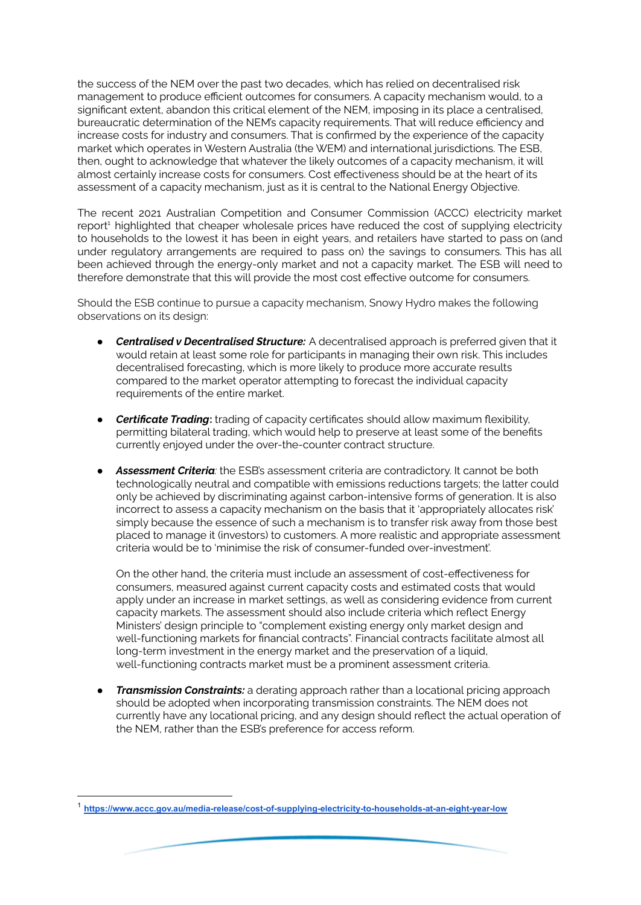the success of the NEM over the past two decades, which has relied on decentralised risk management to produce efficient outcomes for consumers. A capacity mechanism would, to a significant extent, abandon this critical element of the NEM, imposing in its place a centralised, bureaucratic determination of the NEM's capacity requirements. That will reduce efficiency and increase costs for industry and consumers. That is confirmed by the experience of the capacity market which operates in Western Australia (the WEM) and international jurisdictions. The ESB, then, ought to acknowledge that whatever the likely outcomes of a capacity mechanism, it will almost certainly increase costs for consumers. Cost effectiveness should be at the heart of its assessment of a capacity mechanism, just as it is central to the National Energy Objective.

The recent 2021 Australian Competition and Consumer Commission (ACCC) electricity market report<sup>1</sup> highlighted that cheaper wholesale prices have reduced the cost of supplying electricity to households to the lowest it has been in eight years, and retailers have started to pass on (and under regulatory arrangements are required to pass on) the savings to consumers. This has all been achieved through the energy-only market and not a capacity market. The ESB will need to therefore demonstrate that this will provide the most cost effective outcome for consumers.

Should the ESB continue to pursue a capacity mechanism, Snowy Hydro makes the following observations on its design:

- *Centralised v Decentralised Structure:* A decentralised approach is preferred given that it would retain at least some role for participants in managing their own risk. This includes decentralised forecasting, which is more likely to produce more accurate results compared to the market operator attempting to forecast the individual capacity requirements of the entire market.
- **Certificate Trading:** trading of capacity certificates should allow maximum flexibility, permitting bilateral trading, which would help to preserve at least some of the benefits currently enjoyed under the over-the-counter contract structure.
- *● Assessment Criteria:* the ESB's assessment criteria are contradictory. It cannot be both technologically neutral and compatible with emissions reductions targets; the latter could only be achieved by discriminating against carbon-intensive forms of generation. It is also incorrect to assess a capacity mechanism on the basis that it 'appropriately allocates risk' simply because the essence of such a mechanism is to transfer risk away from those best placed to manage it (investors) to customers. A more realistic and appropriate assessment criteria would be to 'minimise the risk of consumer-funded over-investment'.

On the other hand, the criteria must include an assessment of cost-effectiveness for consumers, measured against current capacity costs and estimated costs that would apply under an increase in market settings, as well as considering evidence from current capacity markets. The assessment should also include criteria which reflect Energy Ministers' design principle to "complement existing energy only market design and well-functioning markets for financial contracts". Financial contracts facilitate almost all long-term investment in the energy market and the preservation of a liquid, well-functioning contracts market must be a prominent assessment criteria.

*Transmission Constraints:* a derating approach rather than a locational pricing approach should be adopted when incorporating transmission constraints. The NEM does not currently have any locational pricing, and any design should reflect the actual operation of the NEM, rather than the ESB's preference for access reform.

<sup>1</sup> **<https://www.accc.gov.au/media-release/cost-of-supplying-electricity-to-households-at-an-eight-year-low>**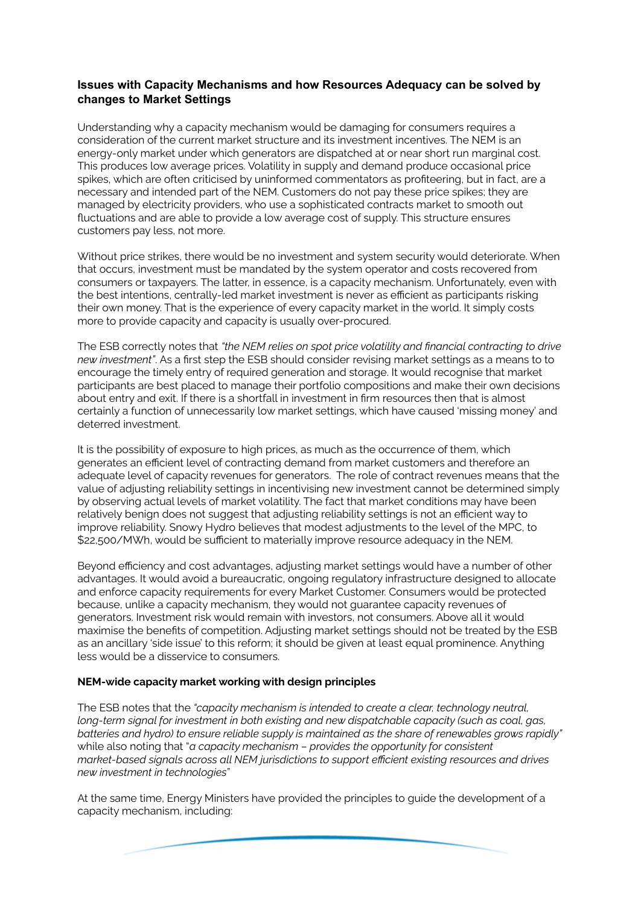# **Issues with Capacity Mechanisms and how Resources Adequacy can be solved by changes to Market Settings**

Understanding why a capacity mechanism would be damaging for consumers requires a consideration of the current market structure and its investment incentives. The NEM is an energy-only market under which generators are dispatched at or near short run marginal cost. This produces low average prices. Volatility in supply and demand produce occasional price spikes, which are often criticised by uninformed commentators as profiteering, but in fact, are a necessary and intended part of the NEM. Customers do not pay these price spikes; they are managed by electricity providers, who use a sophisticated contracts market to smooth out fluctuations and are able to provide a low average cost of supply. This structure ensures customers pay less, not more.

Without price strikes, there would be no investment and system security would deteriorate. When that occurs, investment must be mandated by the system operator and costs recovered from consumers or taxpayers. The latter, in essence, is a capacity mechanism. Unfortunately, even with the best intentions, centrally-led market investment is never as efficient as participants risking their own money. That is the experience of every capacity market in the world. It simply costs more to provide capacity and capacity is usually over-procured.

The ESB correctly notes that *"the NEM relies on spot price volatility and financial contracting to drive new investment"*. As a first step the ESB should consider revising market settings as a means to to encourage the timely entry of required generation and storage. It would recognise that market participants are best placed to manage their portfolio compositions and make their own decisions about entry and exit. If there is a shortfall in investment in firm resources then that is almost certainly a function of unnecessarily low market settings, which have caused 'missing money' and deterred investment.

It is the possibility of exposure to high prices, as much as the occurrence of them, which generates an efficient level of contracting demand from market customers and therefore an adequate level of capacity revenues for generators. The role of contract revenues means that the value of adjusting reliability settings in incentivising new investment cannot be determined simply by observing actual levels of market volatility. The fact that market conditions may have been relatively benign does not suggest that adjusting reliability settings is not an efficient way to improve reliability. Snowy Hydro believes that modest adjustments to the level of the MPC, to \$22,500/MWh, would be sufficient to materially improve resource adequacy in the NEM.

Beyond efficiency and cost advantages, adjusting market settings would have a number of other advantages. It would avoid a bureaucratic, ongoing regulatory infrastructure designed to allocate and enforce capacity requirements for every Market Customer. Consumers would be protected because, unlike a capacity mechanism, they would not guarantee capacity revenues of generators. Investment risk would remain with investors, not consumers. Above all it would maximise the benefits of competition. Adjusting market settings should not be treated by the ESB as an ancillary 'side issue' to this reform; it should be given at least equal prominence. Anything less would be a disservice to consumers.

## **NEM-wide capacity market working with design principles**

The ESB notes that the *"capacity mechanism is intended to create a clear, technology neutral, long-term signal for investment in both existing and new dispatchable capacity (such as coal, gas, batteries and hydro) to ensure reliable supply is maintained as the share of renewables grows rapidly"* while also noting that "*a capacity mechanism – provides the opportunity for consistent market-based signals across all NEM jurisdictions to support efficient existing resources and drives new investment in technologies*"

At the same time, Energy Ministers have provided the principles to guide the development of a capacity mechanism, including: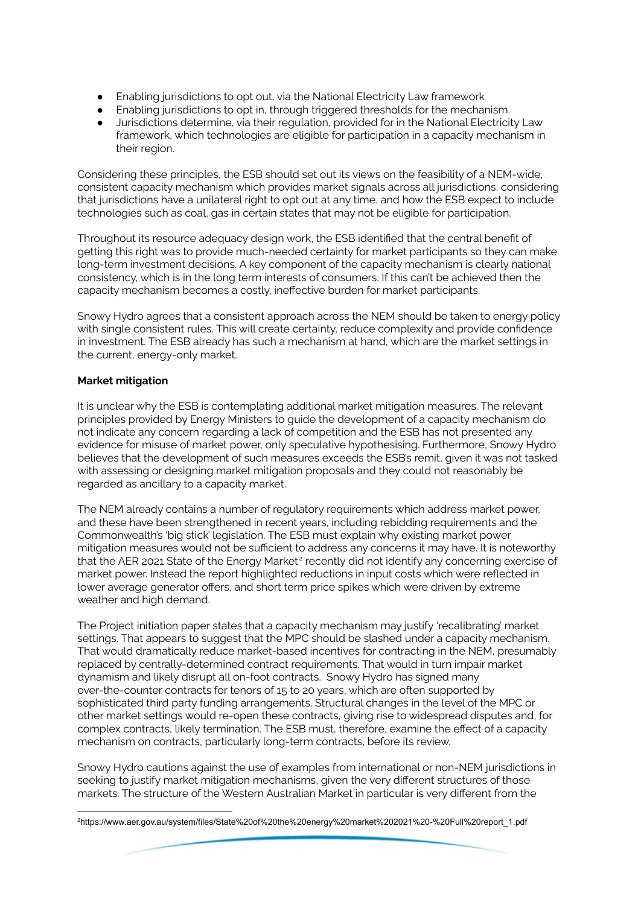- Enabling jurisdictions to opt out, via the National Electricity Law framework
- Enabling jurisdictions to opt in, through triggered thresholds for the mechanism.
- Jurisdictions determine, via their regulation, provided for in the National Electricity Law framework, which technologies are eligible for participation in a capacity mechanism in their region.

Considering these principles, the ESB should set out its views on the feasibility of a NEM-wide, consistent capacity mechanism which provides market signals across all jurisdictions, considering that jurisdictions have a unilateral right to opt out at any time, and how the ESB expect to include technologies such as coal, gas in certain states that may not be eligible for participation.

Throughout its resource adequacy design work, the ESB identified that the central benefit of getting this right was to provide much-needed certainty for market participants so they can make long-term investment decisions. A key component of the capacity mechanism is clearly national consistency, which is in the long term interests of consumers. If this can't be achieved then the capacity mechanism becomes a costly, ineffective burden for market participants.

Snowy Hydro agrees that a consistent approach across the NEM should be taken to energy policy with single consistent rules. This will create certainty, reduce complexity and provide confidence in investment. The ESB already has such a mechanism at hand, which are the market settings in the current, energy-only market.

# **Market mitigation**

It is unclear why the ESB is contemplating additional market mitigation measures. The relevant principles provided by Energy Ministers to guide the development of a capacity mechanism do not indicate any concern regarding a lack of competition and the ESB has not presented any evidence for misuse of market power, only speculative hypothesising. Furthermore, Snowy Hydro believes that the development of such measures exceeds the ESB's remit, given it was not tasked with assessing or designing market mitigation proposals and they could not reasonably be regarded as ancillary to a capacity market.

The NEM already contains a number of regulatory requirements which address market power, and these have been strengthened in recent years, including rebidding requirements and the Commonwealth's 'big stick' legislation. The ESB must explain why existing market power mitigation measures would not be sufficient to address any concerns it may have. It is noteworthy that the AER 2021 State of the Energy Market $^2$  recently did not identify any concerning exercise of market power. Instead the report highlighted reductions in input costs which were reflected in lower average generator offers, and short term price spikes which were driven by extreme weather and high demand.

The Project initiation paper states that a capacity mechanism may justify 'recalibrating' market settings. That appears to suggest that the MPC should be slashed under a capacity mechanism. That would dramatically reduce market-based incentives for contracting in the NEM, presumably replaced by centrally-determined contract requirements. That would in turn impair market dynamism and likely disrupt all on-foot contracts. Snowy Hydro has signed many over-the-counter contracts for tenors of 15 to 20 years, which are often supported by sophisticated third party funding arrangements. Structural changes in the level of the MPC or other market settings would re-open these contracts, giving rise to widespread disputes and, for complex contracts, likely termination. The ESB must, therefore, examine the effect of a capacity mechanism on contracts, particularly long-term contracts, before its review.

Snowy Hydro cautions against the use of examples from international or non-NEM jurisdictions in seeking to justify market mitigation mechanisms, given the very different structures of those markets. The structure of the Western Australian Market in particular is very different from the

<sup>2</sup>https://www.aer.gov.au/system/files/State%20of%20the%20energy%20market%202021%20-%20Full%20report\_1.pdf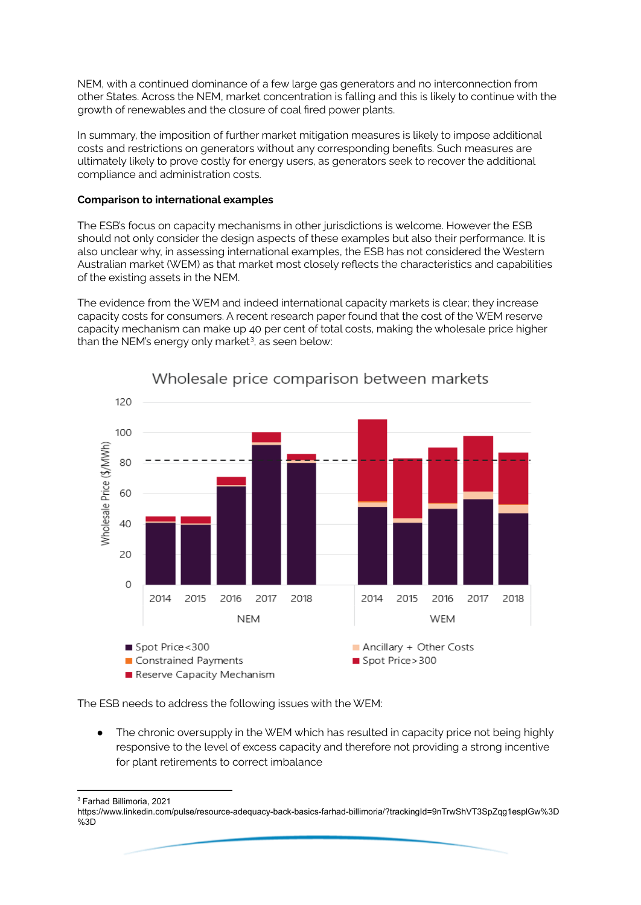NEM, with a continued dominance of a few large gas generators and no interconnection from other States. Across the NEM, market concentration is falling and this is likely to continue with the growth of renewables and the closure of coal fired power plants.

In summary, the imposition of further market mitigation measures is likely to impose additional costs and restrictions on generators without any corresponding benefits. Such measures are ultimately likely to prove costly for energy users, as generators seek to recover the additional compliance and administration costs.

#### **Comparison to international examples**

The ESB's focus on capacity mechanisms in other jurisdictions is welcome. However the ESB should not only consider the design aspects of these examples but also their performance. It is also unclear why, in assessing international examples, the ESB has not considered the Western Australian market (WEM) as that market most closely reflects the characteristics and capabilities of the existing assets in the NEM.

The evidence from the WEM and indeed international capacity markets is clear; they increase capacity costs for consumers. A recent research paper found that the cost of the WEM reserve capacity mechanism can make up 40 per cent of total costs, making the wholesale price higher than the NEM's energy only market $3$ , as seen below:



Wholesale price comparison between markets

The ESB needs to address the following issues with the WEM:

The chronic oversupply in the WEM which has resulted in capacity price not being highly responsive to the level of excess capacity and therefore not providing a strong incentive for plant retirements to correct imbalance

<sup>3</sup> Farhad Billimoria, 2021

https://www.linkedin.com/pulse/resource-adequacy-back-basics-farhad-billimoria/?trackingId=9nTrwShVT3SpZqg1esplGw%3D %3D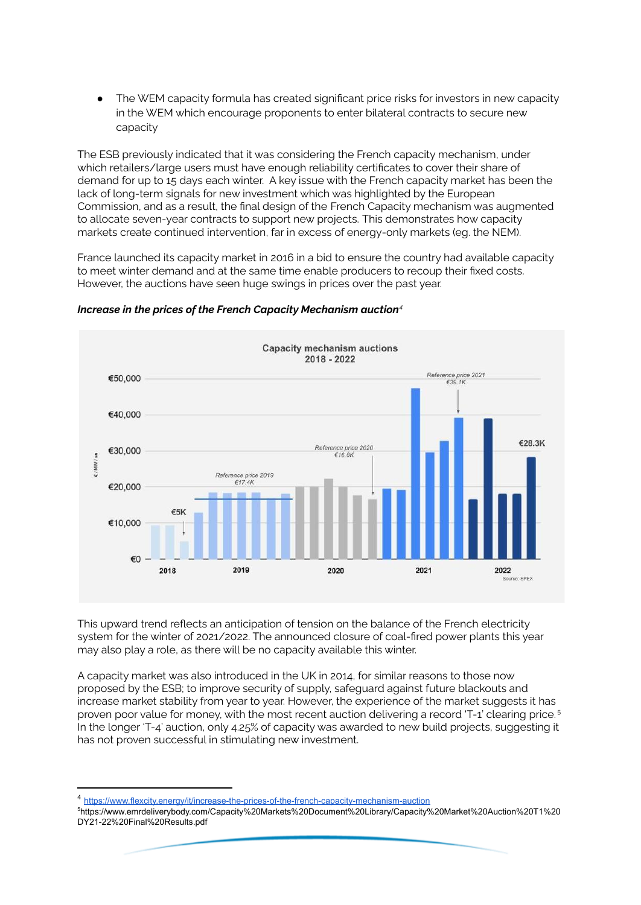• The WEM capacity formula has created significant price risks for investors in new capacity in the WEM which encourage proponents to enter bilateral contracts to secure new capacity

The ESB previously indicated that it was considering the French capacity mechanism, under which retailers/large users must have enough reliability certificates to cover their share of demand for up to 15 days each winter. A key issue with the French capacity market has been the lack of long-term signals for new investment which was highlighted by the European Commission, and as a result, the final design of the French Capacity mechanism was augmented to allocate seven-year contracts to support new projects. This demonstrates how capacity markets create continued intervention, far in excess of energy-only markets (eg. the NEM).

France launched its capacity market in 2016 in a bid to ensure the country had available capacity to meet winter demand and at the same time enable producers to recoup their fixed costs. However, the auctions have seen huge swings in prices over the past year.



# *Increase in the prices of the French Capacity Mechanism auction 4*

This upward trend reflects an anticipation of tension on the balance of the French electricity system for the winter of 2021/2022. The announced closure of coal-fired power plants this year may also play a role, as there will be no capacity available this winter.

A capacity market was also introduced in the UK in 2014, for similar reasons to those now proposed by the ESB; to improve security of supply, safeguard against future blackouts and increase market stability from year to year. However, the experience of the market suggests it has proven poor value for money, with the most recent auction delivering a record 'T-1' clearing price. 5 In the longer 'T-4' auction, only 4.25% of capacity was awarded to new build projects, suggesting it has not proven successful in stimulating new investment.

<sup>4</sup> <https://www.flexcity.energy/it/increase-the-prices-of-the-french-capacity-mechanism-auction>

<sup>5</sup>https://www.emrdeliverybody.com/Capacity%20Markets%20Document%20Library/Capacity%20Market%20Auction%20T1%20 DY21-22%20Final%20Results.pdf